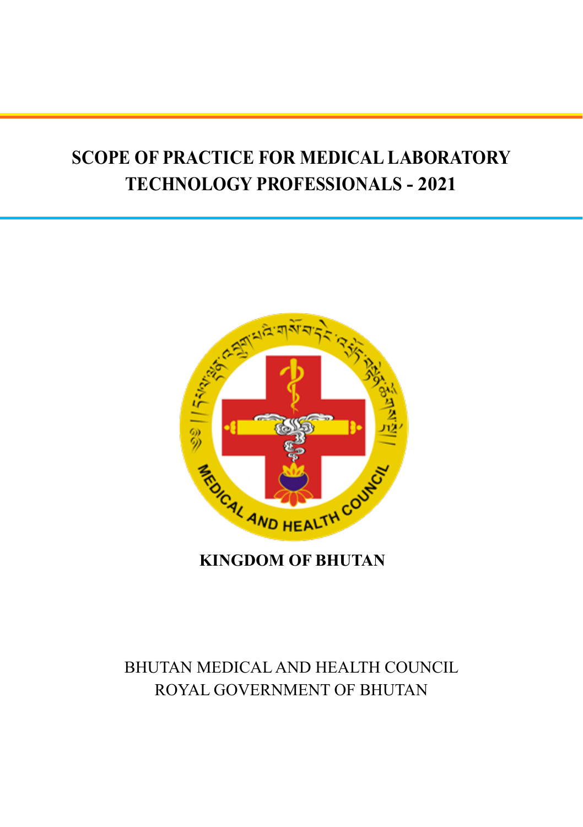# **SCOPE OF PRACTICE FOR MEDICAL LABORATORY TECHNOLOGY PROFESSIONALS - 2021**



**KINGDOM OF BHUTAN**

## BHUTAN MEDICAL AND HEALTH COUNCIL ROYAL GOVERNMENT OF BHUTAN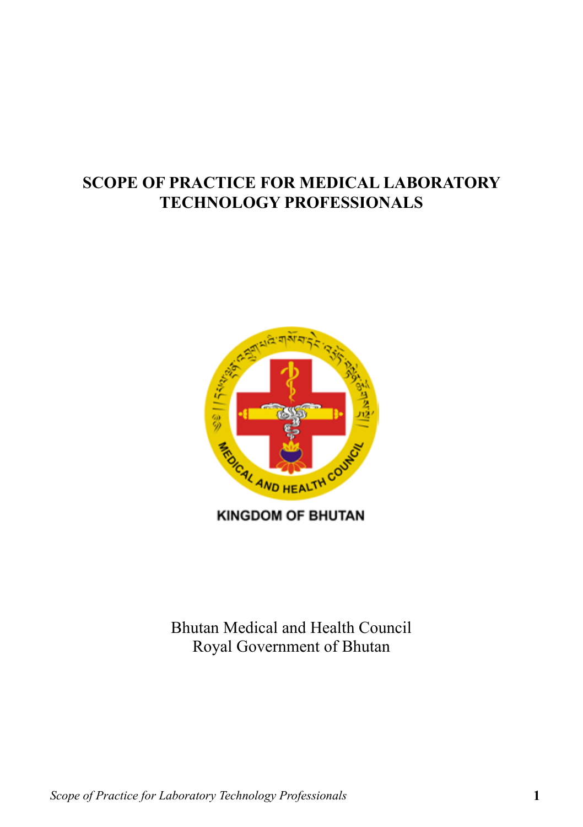## **SCOPE OF PRACTICE FOR MEDICAL LABORATORY TECHNOLOGY PROFESSIONALS**



**KINGDOM OF BHUTAN** 

Bhutan Medical and Health Council Royal Government of Bhutan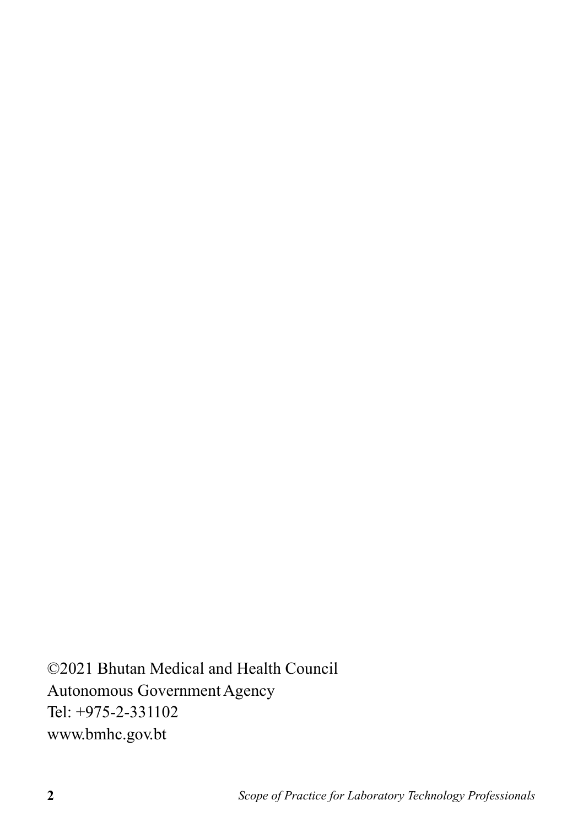©2021 Bhutan Medical and Health Council Autonomous Government Agency Tel: +975-2-331102 www.bmhc.gov.bt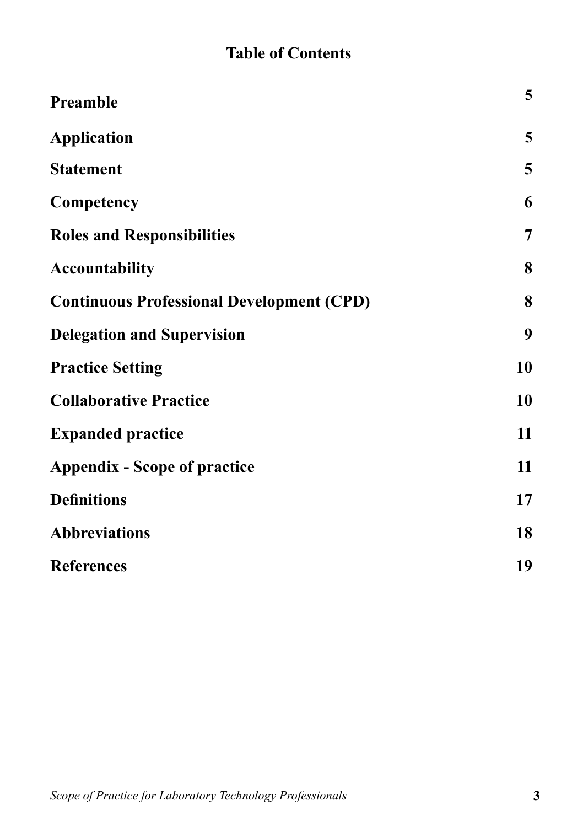## **Table of Contents**

| Preamble                                         | 5  |
|--------------------------------------------------|----|
| <b>Application</b>                               | 5  |
| <b>Statement</b>                                 | 5  |
| Competency                                       | 6  |
| <b>Roles and Responsibilities</b>                | 7  |
| <b>Accountability</b>                            | 8  |
| <b>Continuous Professional Development (CPD)</b> | 8  |
| <b>Delegation and Supervision</b>                | 9  |
| <b>Practice Setting</b>                          | 10 |
| <b>Collaborative Practice</b>                    | 10 |
| <b>Expanded practice</b>                         | 11 |
| <b>Appendix - Scope of practice</b>              | 11 |
| <b>Definitions</b>                               | 17 |
| <b>Abbreviations</b>                             | 18 |
| <b>References</b>                                | 19 |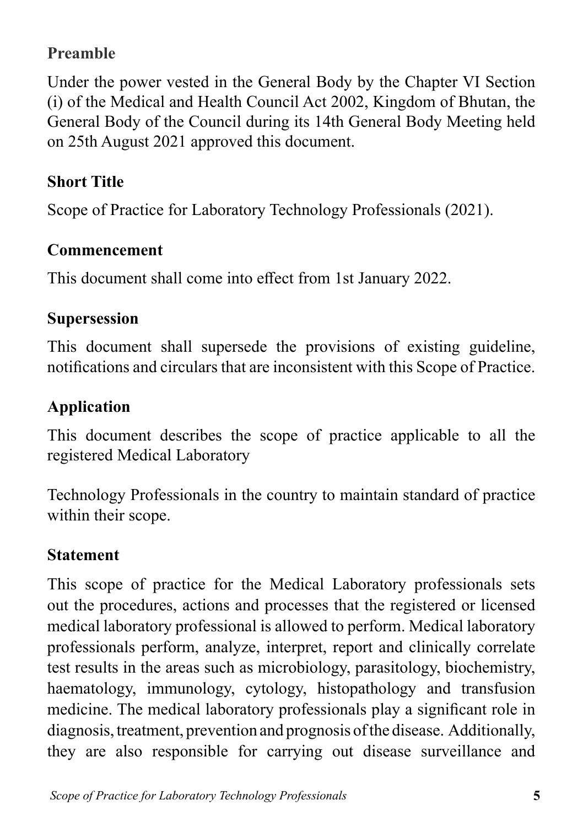## **Preamble**

Under the power vested in the General Body by the Chapter VI Section (i) of the Medical and Health Council Act 2002, Kingdom of Bhutan, the General Body of the Council during its 14th General Body Meeting held on 25th August 2021 approved this document.

## **Short Title**

Scope of Practice for Laboratory Technology Professionals (2021).

### **Commencement**

This document shall come into effect from 1st January 2022.

### **Supersession**

This document shall supersede the provisions of existing guideline, notifications and circulars that are inconsistent with this Scope of Practice.

### **Application**

This document describes the scope of practice applicable to all the registered Medical Laboratory

Technology Professionals in the country to maintain standard of practice within their scope.

### **Statement**

This scope of practice for the Medical Laboratory professionals sets out the procedures, actions and processes that the registered or licensed medical laboratory professional is allowed to perform. Medical laboratory professionals perform, analyze, interpret, report and clinically correlate test results in the areas such as microbiology, parasitology, biochemistry, haematology, immunology, cytology, histopathology and transfusion medicine. The medical laboratory professionals play a significant role in diagnosis, treatment, prevention and prognosis of the disease. Additionally, they are also responsible for carrying out disease surveillance and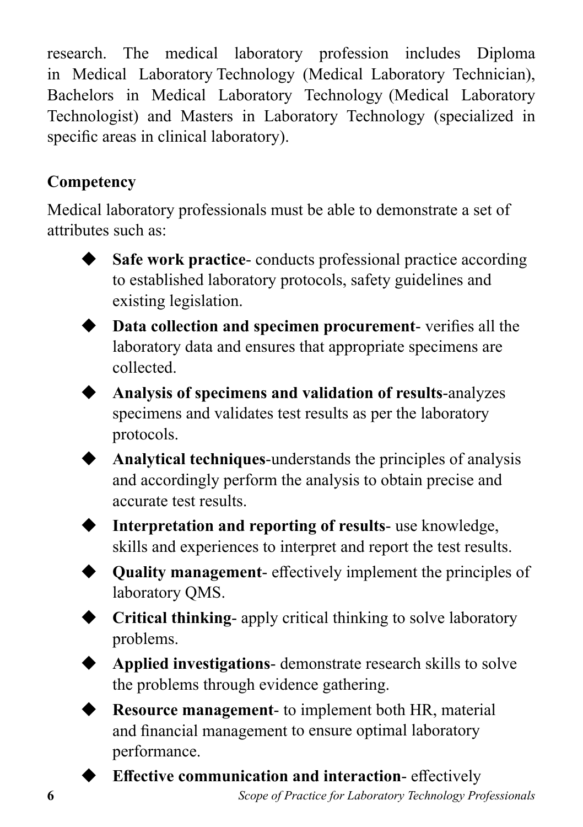research. The medical laboratory profession includes Diploma in Medical Laboratory Technology (Medical Laboratory Technician), Bachelors in Medical Laboratory Technology (Medical Laboratory Technologist) and Masters in Laboratory Technology (specialized in specific areas in clinical laboratory).

## **Competency**

Medical laboratory professionals must be able to demonstrate a set of attributes such as:

- 
- **Safe work practice-** conducts professional practice according to established laboratory protocols, safety guidelines and existing legislation.



- ◆ **Data collection and specimen procurement** verifies all the laboratory data and ensures that appropriate specimens are collected.
- ◆ **Analysis of specimens and validation of results**-analyzes specimens and validates test results as per the laboratory protocols.



Analytical techniques-understands the principles of analysis and accordingly perform the analysis to obtain precise and accurate test results.







Applied investigations- demonstrate research skills to solve the problems through evidence gathering.



**Resource management-** to implement both HR, material and financial management to ensure optimal laboratory performance.



**Effective communication and interaction-** effectively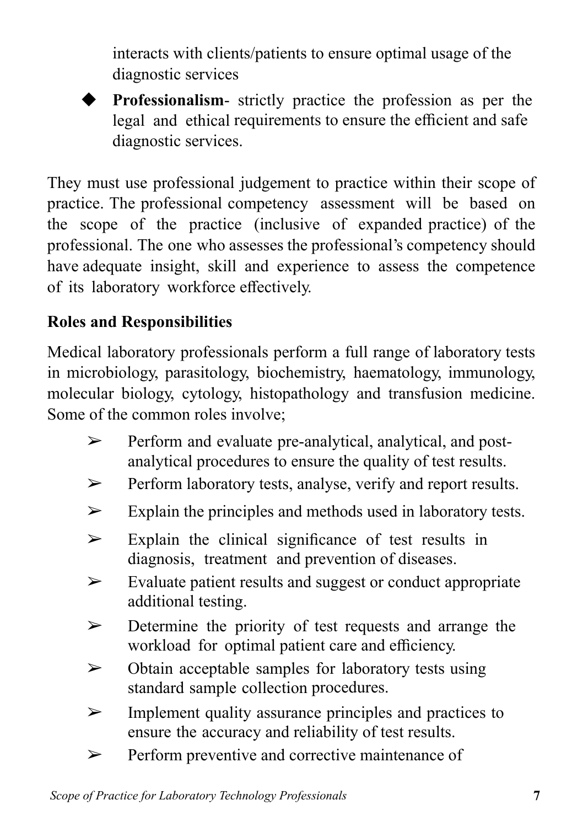interacts with clients/patients to ensure optimal usage of the diagnostic services

◆ **Professionalism**- strictly practice the profession as per the legal and ethical requirements to ensure the efficient and safe diagnostic services.

They must use professional judgement to practice within their scope of practice. The professional competency assessment will be based on the scope of the practice (inclusive of expanded practice) of the professional. The one who assesses the professional's competency should have adequate insight, skill and experience to assess the competence of its laboratory workforce effectively.

## **Roles and Responsibilities**

Medical laboratory professionals perform a full range of laboratory tests in microbiology, parasitology, biochemistry, haematology, immunology, molecular biology, cytology, histopathology and transfusion medicine. Some of the common roles involve;

- ➢ Perform and evaluate pre-analytical, analytical, and postanalytical procedures to ensure the quality of test results.
- ➢ Perform laboratory tests, analyse, verify and report results.
- $\triangleright$  Explain the principles and methods used in laboratory tests.
- $\geq$  Explain the clinical significance of test results in diagnosis, treatment and prevention of diseases.
- ➢ Evaluate patient results and suggest or conduct appropriate additional testing.
- ➢ Determine the priority of test requests and arrange the workload for optimal patient care and efficiency.
- $\triangleright$  Obtain acceptable samples for laboratory tests using standard sample collection procedures.
- $\triangleright$  Implement quality assurance principles and practices to ensure the accuracy and reliability of test results.
- ➢ Perform preventive and corrective maintenance of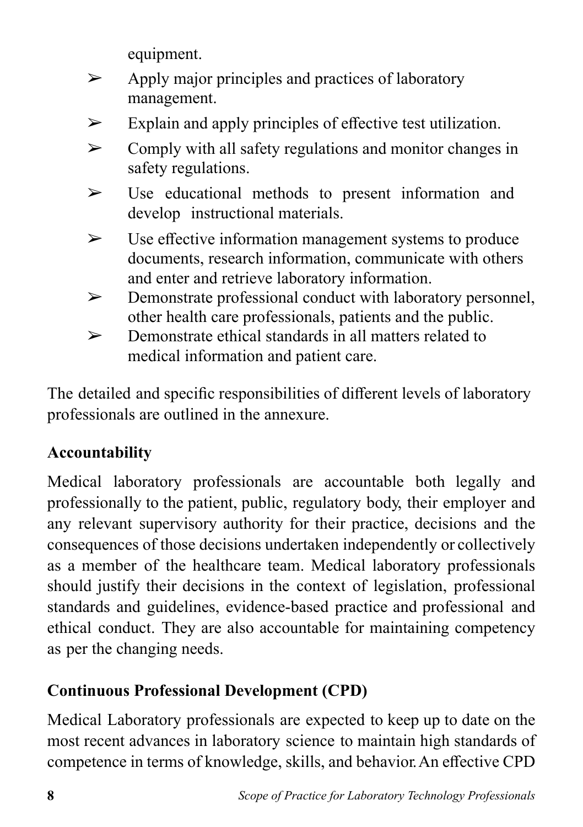equipment.

- $\triangleright$  Apply major principles and practices of laboratory management.
- $\triangleright$  Explain and apply principles of effective test utilization.
- $\triangleright$  Comply with all safety regulations and monitor changes in safety regulations.
- $\triangleright$  Use educational methods to present information and develop instructional materials.
- $\triangleright$  Use effective information management systems to produce documents, research information, communicate with others and enter and retrieve laboratory information.
- ➢ Demonstrate professional conduct with laboratory personnel, other health care professionals, patients and the public.
- $\triangleright$  Demonstrate ethical standards in all matters related to medical information and patient care.

The detailed and specific responsibilities of different levels of laboratory professionals are outlined in the annexure.

## **Accountability**

Medical laboratory professionals are accountable both legally and professionally to the patient, public, regulatory body, their employer and any relevant supervisory authority for their practice, decisions and the consequences of those decisions undertaken independently or collectively as a member of the healthcare team. Medical laboratory professionals should justify their decisions in the context of legislation, professional standards and guidelines, evidence-based practice and professional and ethical conduct. They are also accountable for maintaining competency as per the changing needs.

## **Continuous Professional Development (CPD)**

Medical Laboratory professionals are expected to keep up to date on the most recent advances in laboratory science to maintain high standards of competence in terms of knowledge, skills, and behavior. An effective CPD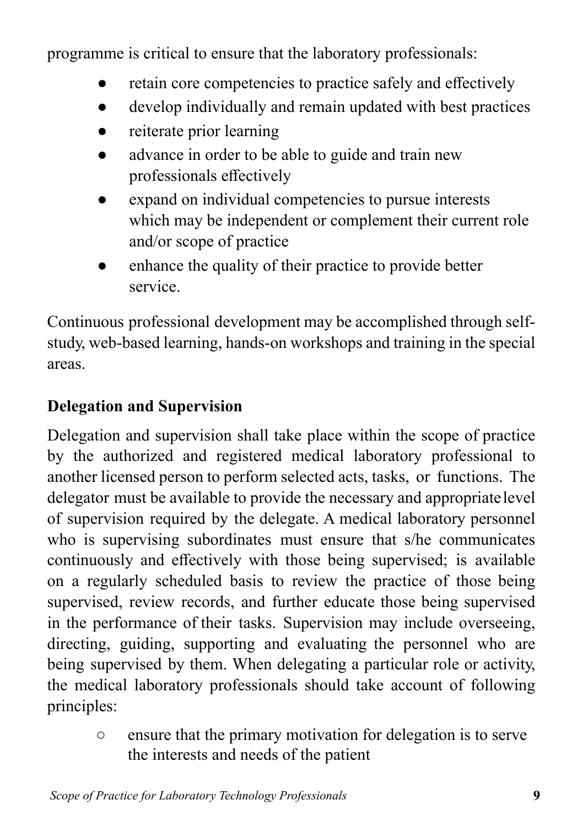programme is critical to ensure that the laboratory professionals:

- retain core competencies to practice safely and effectively
- develop individually and remain updated with best practices
- reiterate prior learning
- advance in order to be able to guide and train new professionals effectively
- expand on individual competencies to pursue interests which may be independent or complement their current role and/or scope of practice
- enhance the quality of their practice to provide better service.

Continuous professional development may be accomplished through selfstudy, web-based learning, hands-on workshops and training in the special areas.

### **Delegation and Supervision**

Delegation and supervision shall take place within the scope of practice by the authorized and registered medical laboratory professional to another licensed person to perform selected acts, tasks, or functions. The delegator must be available to provide the necessary and appropriate level of supervision required by the delegate. A medical laboratory personnel who is supervising subordinates must ensure that s/he communicates continuously and effectively with those being supervised; is available on a regularly scheduled basis to review the practice of those being supervised, review records, and further educate those being supervised in the performance of their tasks. Supervision may include overseeing, directing, guiding, supporting and evaluating the personnel who are being supervised by them. When delegating a particular role or activity, the medical laboratory professionals should take account of following principles:

> ○ ensure that the primary motivation for delegation is to serve the interests and needs of the patient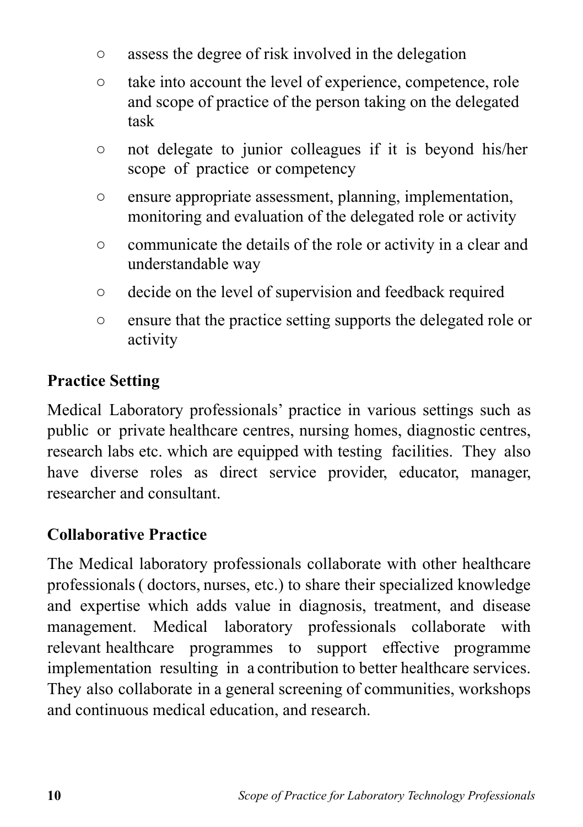- assess the degree of risk involved in the delegation
- take into account the level of experience, competence, role and scope of practice of the person taking on the delegated task
- not delegate to junior colleagues if it is beyond his/her scope of practice or competency
- ensure appropriate assessment, planning, implementation, monitoring and evaluation of the delegated role or activity
- communicate the details of the role or activity in a clear and understandable way
- decide on the level of supervision and feedback required
- ensure that the practice setting supports the delegated role or activity

## **Practice Setting**

Medical Laboratory professionals' practice in various settings such as public or private healthcare centres, nursing homes, diagnostic centres, research labs etc. which are equipped with testing facilities. They also have diverse roles as direct service provider, educator, manager, researcher and consultant.

### **Collaborative Practice**

The Medical laboratory professionals collaborate with other healthcare professionals ( doctors, nurses, etc.) to share their specialized knowledge and expertise which adds value in diagnosis, treatment, and disease management. Medical laboratory professionals collaborate with relevant healthcare programmes to support effective programme implementation resulting in a contribution to better healthcare services. They also collaborate in a general screening of communities, workshops and continuous medical education, and research.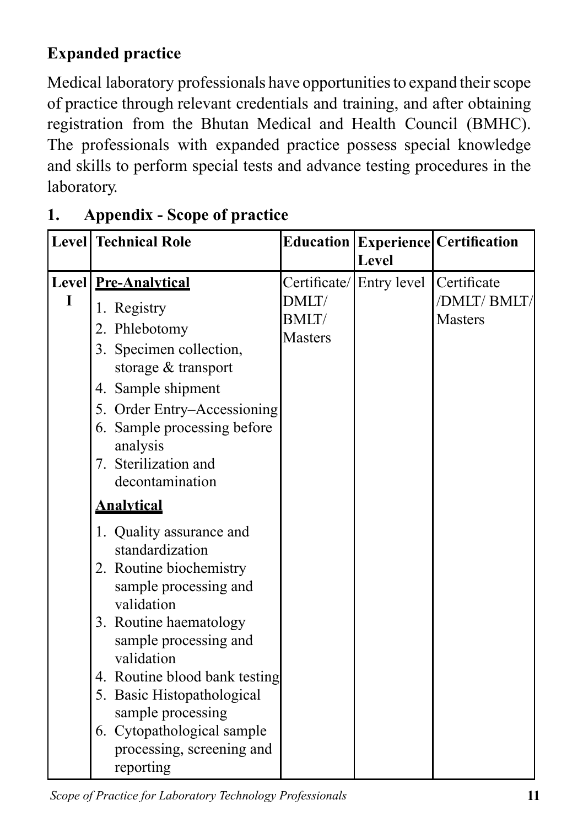## **Expanded practice**

Medical laboratory professionals have opportunities to expand their scope of practice through relevant credentials and training, and after obtaining registration from the Bhutan Medical and Health Council (BMHC). The professionals with expanded practice possess special knowledge and skills to perform special tests and advance testing procedures in the laboratory.

|   | <b>Level Technical Role</b>                                                                                                                                                                                                                                                                                                                |                                          | Level                   | Education   Experience   Certification       |
|---|--------------------------------------------------------------------------------------------------------------------------------------------------------------------------------------------------------------------------------------------------------------------------------------------------------------------------------------------|------------------------------------------|-------------------------|----------------------------------------------|
| I | Level Pre-Analytical<br>1. Registry<br>2. Phlebotomy<br>3. Specimen collection,<br>storage & transport<br>4. Sample shipment<br>5. Order Entry–Accessioning<br>6. Sample processing before<br>analysis<br>7. Sterilization and<br>decontamination                                                                                          | DMLT/<br><b>BMLT</b> /<br><b>Masters</b> | Certificate/Entry level | Certificate<br>/DMLT/BMLT/<br><b>Masters</b> |
|   | <b>Analytical</b>                                                                                                                                                                                                                                                                                                                          |                                          |                         |                                              |
|   | 1. Quality assurance and<br>standardization<br>2. Routine biochemistry<br>sample processing and<br>validation<br>3. Routine haematology<br>sample processing and<br>validation<br>4. Routine blood bank testing<br>5. Basic Histopathological<br>sample processing<br>6. Cytopathological sample<br>processing, screening and<br>reporting |                                          |                         |                                              |

## **1. Appendix - Scope of practice**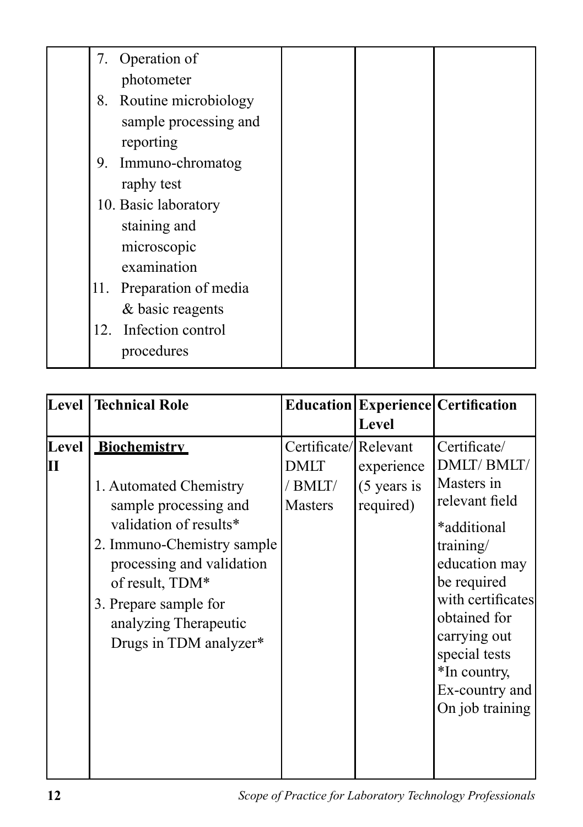| 7. Operation of          |  |  |
|--------------------------|--|--|
| photometer               |  |  |
| 8. Routine microbiology  |  |  |
| sample processing and    |  |  |
| reporting                |  |  |
| 9. Immuno-chromatog      |  |  |
| raphy test               |  |  |
| 10. Basic laboratory     |  |  |
| staining and             |  |  |
| microscopic              |  |  |
| examination              |  |  |
| 11. Preparation of media |  |  |
| & basic reagents         |  |  |
| 12. Infection control    |  |  |
| procedures               |  |  |

| Level             | <b>Technical Role</b>                                                                                                                                                                                                                               |                                                           |                                          | <b>Education Experience Certification</b>                                                                                                                                                                                                         |
|-------------------|-----------------------------------------------------------------------------------------------------------------------------------------------------------------------------------------------------------------------------------------------------|-----------------------------------------------------------|------------------------------------------|---------------------------------------------------------------------------------------------------------------------------------------------------------------------------------------------------------------------------------------------------|
|                   |                                                                                                                                                                                                                                                     |                                                           | Level                                    |                                                                                                                                                                                                                                                   |
| <b>Level</b><br>П | Biochemistry<br>1. Automated Chemistry<br>sample processing and<br>validation of results*<br>2. Immuno-Chemistry sample<br>processing and validation<br>of result, TDM*<br>3. Prepare sample for<br>analyzing Therapeutic<br>Drugs in TDM analyzer* | Certificate/Relevant<br>DMLT<br>/ BMLT/<br><b>Masters</b> | experience<br>$(5$ years is<br>required) | Certificate/<br>DMLT/BMLT/<br>Masters in<br>relevant field<br>*additional<br>training/<br>education may<br>be required<br>with certificates<br>obtained for<br>carrying out<br>special tests<br>*In country,<br>Ex-country and<br>On job training |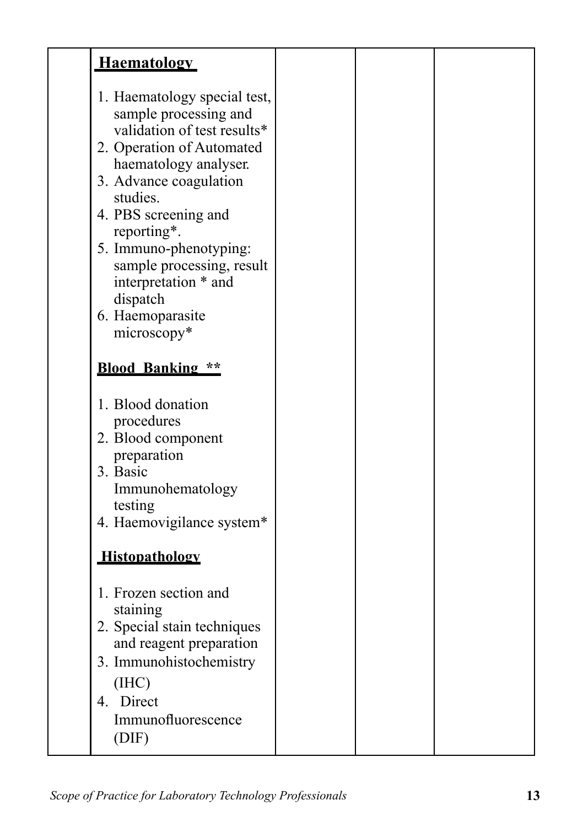| <b>Haematology</b>                                                                                                                                                                                                                                                                                                                     |  |  |
|----------------------------------------------------------------------------------------------------------------------------------------------------------------------------------------------------------------------------------------------------------------------------------------------------------------------------------------|--|--|
| 1. Haematology special test,<br>sample processing and<br>validation of test results*<br>2. Operation of Automated<br>haematology analyser.<br>3. Advance coagulation<br>studies.<br>4. PBS screening and<br>reporting*.<br>5. Immuno-phenotyping:<br>sample processing, result<br>interpretation * and<br>dispatch<br>6. Haemoparasite |  |  |
| microscopy*                                                                                                                                                                                                                                                                                                                            |  |  |
| <b>Blood Banking **</b>                                                                                                                                                                                                                                                                                                                |  |  |
| 1. Blood donation<br>procedures                                                                                                                                                                                                                                                                                                        |  |  |
| 2. Blood component                                                                                                                                                                                                                                                                                                                     |  |  |
| preparation<br>3. Basic                                                                                                                                                                                                                                                                                                                |  |  |
| Immunohematology                                                                                                                                                                                                                                                                                                                       |  |  |
| testing<br>4. Haemovigilance system*                                                                                                                                                                                                                                                                                                   |  |  |
| Histopathology                                                                                                                                                                                                                                                                                                                         |  |  |
| 1. Frozen section and                                                                                                                                                                                                                                                                                                                  |  |  |
| staining<br>2. Special stain techniques                                                                                                                                                                                                                                                                                                |  |  |
| and reagent preparation                                                                                                                                                                                                                                                                                                                |  |  |
| 3. Immunohistochemistry<br>(IIIC)                                                                                                                                                                                                                                                                                                      |  |  |
| 4. Direct                                                                                                                                                                                                                                                                                                                              |  |  |
| Immunofluorescence<br>(DIF)                                                                                                                                                                                                                                                                                                            |  |  |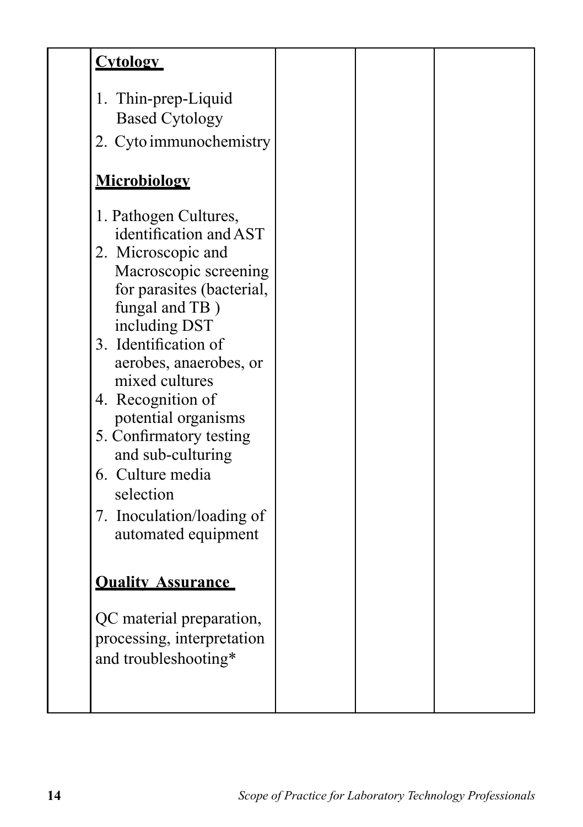| <b>Cytology</b>                                                                                                                                                                                                                                                                                                                                                                                                     |  |  |
|---------------------------------------------------------------------------------------------------------------------------------------------------------------------------------------------------------------------------------------------------------------------------------------------------------------------------------------------------------------------------------------------------------------------|--|--|
| 1. Thin-prep-Liquid<br><b>Based Cytology</b><br>2. Cyto immunochemistry                                                                                                                                                                                                                                                                                                                                             |  |  |
| Microbiology                                                                                                                                                                                                                                                                                                                                                                                                        |  |  |
| 1. Pathogen Cultures,<br>identification and AST<br>2. Microscopic and<br>Macroscopic screening<br>for parasites (bacterial,<br>fungal and TB)<br>including DST<br>3. Identification of<br>aerobes, anaerobes, or<br>mixed cultures<br>4. Recognition of<br>potential organisms<br>5. Confirmatory testing<br>and sub-culturing<br>6. Culture media<br>selection<br>7. Inoculation/loading of<br>automated equipment |  |  |
| <b>Ouality Assurance</b>                                                                                                                                                                                                                                                                                                                                                                                            |  |  |
| QC material preparation,<br>processing, interpretation<br>and troubleshooting*                                                                                                                                                                                                                                                                                                                                      |  |  |
|                                                                                                                                                                                                                                                                                                                                                                                                                     |  |  |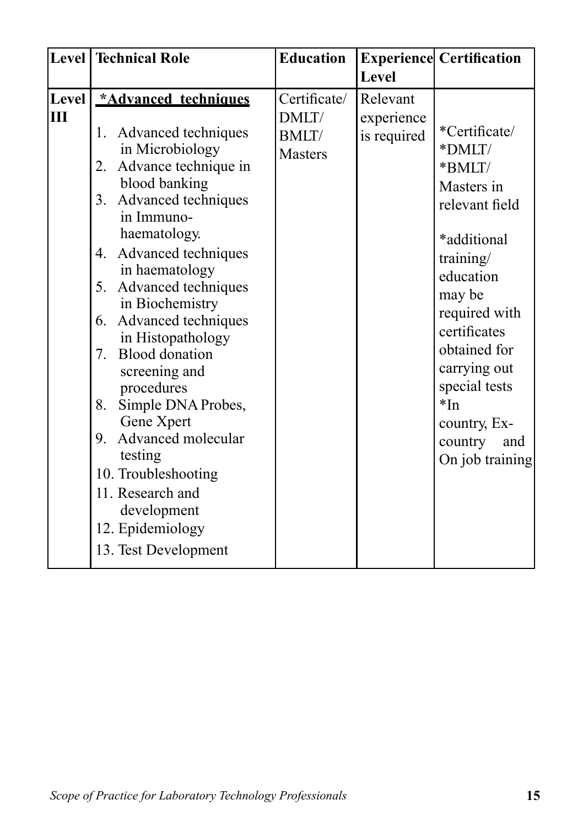|             | Level   Technical Role                                                                                                                                                                                                                                                                                                                                                                                                                                                                                                                                      | <b>Education</b>                                         |                                       | <b>Experience Certification</b>                                                                                                                                                                                                                                      |
|-------------|-------------------------------------------------------------------------------------------------------------------------------------------------------------------------------------------------------------------------------------------------------------------------------------------------------------------------------------------------------------------------------------------------------------------------------------------------------------------------------------------------------------------------------------------------------------|----------------------------------------------------------|---------------------------------------|----------------------------------------------------------------------------------------------------------------------------------------------------------------------------------------------------------------------------------------------------------------------|
|             |                                                                                                                                                                                                                                                                                                                                                                                                                                                                                                                                                             |                                                          | Level                                 |                                                                                                                                                                                                                                                                      |
| Level <br>Ш | *Advanced techniques<br>1. Advanced techniques<br>in Microbiology<br>Advance technique in<br>2.<br>blood banking<br>3. Advanced techniques<br>in Immuno-<br>haematology.<br>4. Advanced techniques<br>in haematology<br>5.<br>Advanced techniques<br>in Biochemistry<br>6. Advanced techniques<br>in Histopathology<br>7. Blood donation<br>screening and<br>procedures<br>Simple DNA Probes,<br>8.<br>Gene Xpert<br>9. Advanced molecular<br>testing<br>10. Troubleshooting<br>11. Research and<br>development<br>12. Epidemiology<br>13. Test Development | Certificate/<br>DMLT/<br><b>BMLT</b> /<br><b>Masters</b> | Relevant<br>experience<br>is required | *Certificate/<br>*DMLT/<br>*BMLT/<br>Masters in<br>relevant field<br>*additional<br>training/<br>education<br>may be<br>required with<br>certificates<br>obtained for<br>carrying out<br>special tests<br>$*In$<br>country, Ex-<br>country<br>and<br>On job training |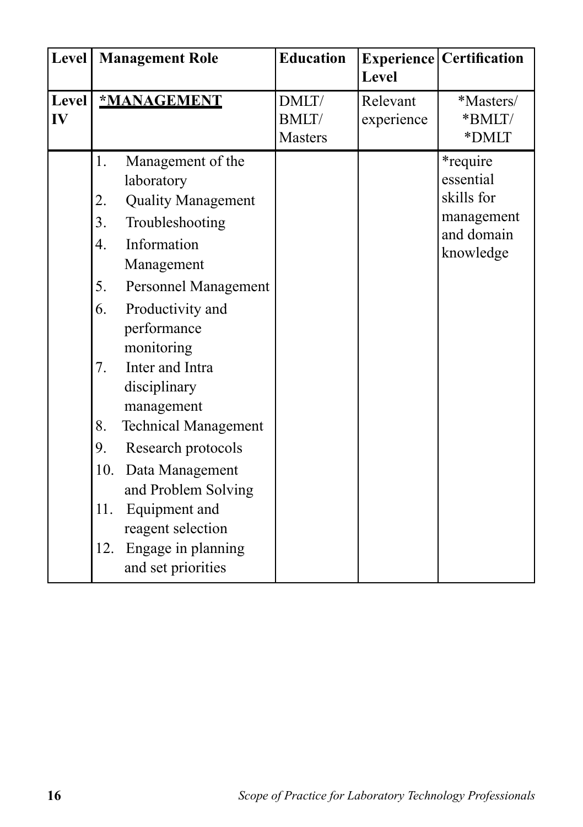| Level              |                                                                         | <b>Management Role</b>                                                                                                                                                                                                                                                                                                                                                                                                  | <b>Education</b>                        | Level                  | <b>Experience   Certification</b>                                                    |
|--------------------|-------------------------------------------------------------------------|-------------------------------------------------------------------------------------------------------------------------------------------------------------------------------------------------------------------------------------------------------------------------------------------------------------------------------------------------------------------------------------------------------------------------|-----------------------------------------|------------------------|--------------------------------------------------------------------------------------|
| <b>Level</b><br>IV |                                                                         | *MANAGEMENT                                                                                                                                                                                                                                                                                                                                                                                                             | DMLT/<br><b>BMLT/</b><br><b>Masters</b> | Relevant<br>experience | *Masters/<br>*BMLT/<br>*DMLT                                                         |
|                    | 1.<br>2.<br>3.<br>4.<br>5.<br>6.<br>7.<br>8.<br>9.<br>10.<br>11.<br>12. | Management of the<br>laboratory<br><b>Quality Management</b><br>Troubleshooting<br>Information<br>Management<br>Personnel Management<br>Productivity and<br>performance<br>monitoring<br>Inter and Intra<br>disciplinary<br>management<br><b>Technical Management</b><br>Research protocols<br>Data Management<br>and Problem Solving<br>Equipment and<br>reagent selection<br>Engage in planning<br>and set priorities |                                         |                        | <i>*</i> require<br>essential<br>skills for<br>management<br>and domain<br>knowledge |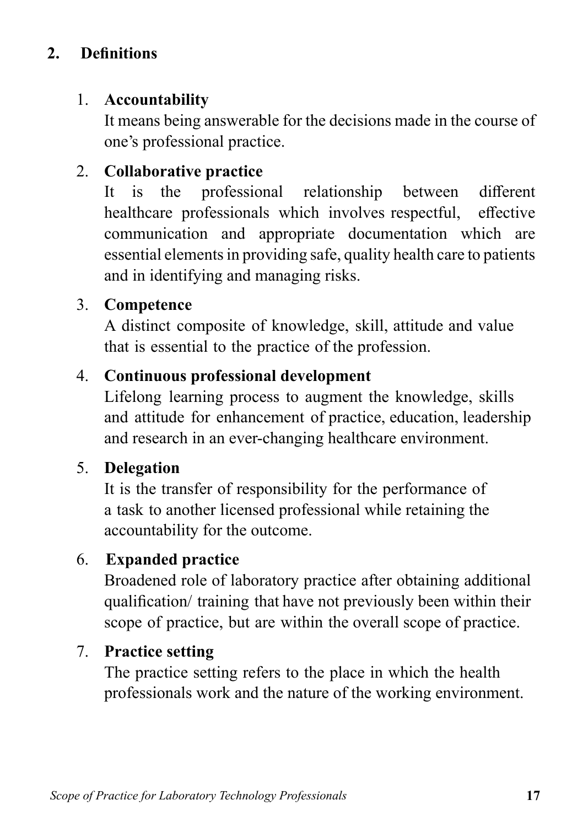## **2. Definitions**

### 1. **Accountability**

It means being answerable for the decisions made in the course of one's professional practice.

### 2. **Collaborative practice**

It is the professional relationship between different healthcare professionals which involves respectful, effective communication and appropriate documentation which are essential elements in providing safe, quality health care to patients and in identifying and managing risks.

### 3. **Competence**

A distinct composite of knowledge, skill, attitude and value that is essential to the practice of the profession.

### 4. **Continuous professional development**

Lifelong learning process to augment the knowledge, skills and attitude for enhancement of practice, education, leadership and research in an ever-changing healthcare environment.

### 5. **Delegation**

It is the transfer of responsibility for the performance of a task to another licensed professional while retaining the accountability for the outcome.

### 6. **Expanded practice**

Broadened role of laboratory practice after obtaining additional qualification/ training that have not previously been within their scope of practice, but are within the overall scope of practice.

### 7. **Practice setting**

The practice setting refers to the place in which the health professionals work and the nature of the working environment.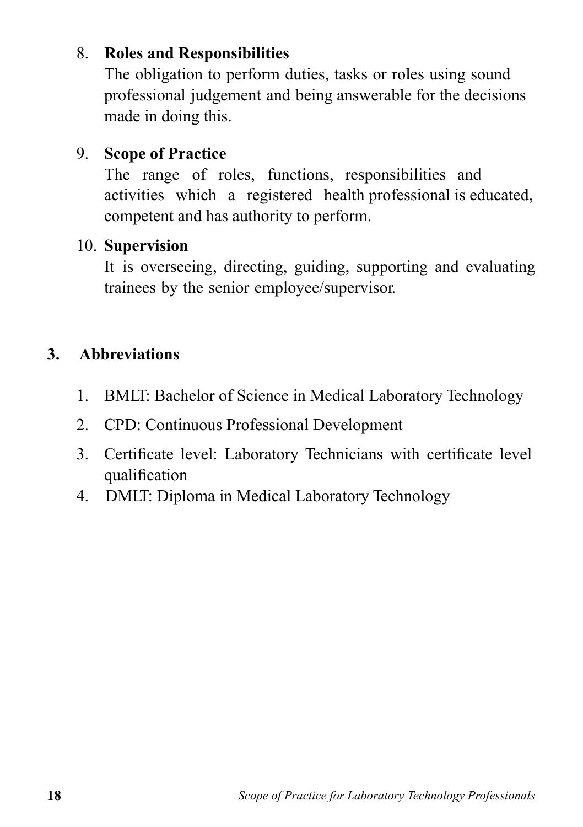### 8. **Roles and Responsibilities**

The obligation to perform duties, tasks or roles using sound professional judgement and being answerable for the decisions made in doing this.

### 9. **Scope of Practice**

The range of roles, functions, responsibilities and activities which a registered health professional is educated, competent and has authority to perform.

### 10. **Supervision**

It is overseeing, directing, guiding, supporting and evaluating trainees by the senior employee/supervisor.

## **3. Abbreviations**

- 1. BMLT: Bachelor of Science in Medical Laboratory Technology
- 2. CPD: Continuous Professional Development
- 3. Certificate level: Laboratory Technicians with certificate level qualification
- 4. DMLT: Diploma in Medical Laboratory Technology